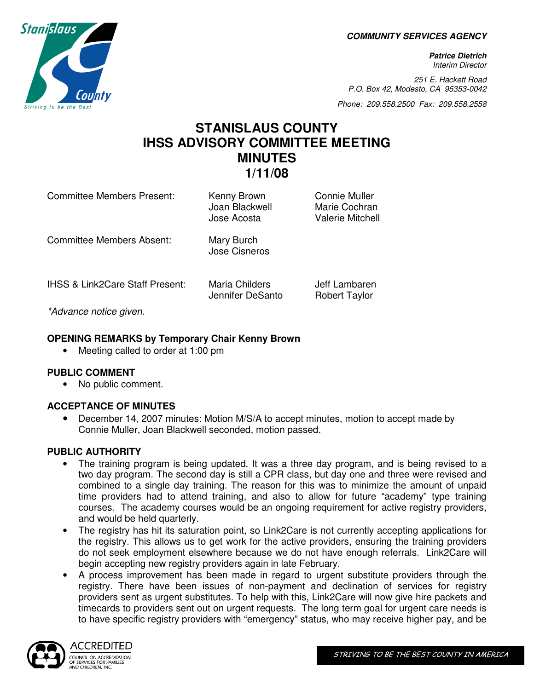**COMMUNITY SERVICES AGENCY** 

**Patrice Dietrich**  Interim Director

251 E. Hackett Road P.O. Box 42, Modesto, CA 95353-0042

Phone: 209.558.2500 Fax: 209.558.2558

# **STANISLAUS COUNTY IHSS ADVISORY COMMITTEE MEETING MINUTES 1/11/08**

Jennifer DeSanto Robert Taylor

Committee Members Present: Kenny Brown Connie Muller

Joan Blackwell Marie Cochran Jose Acosta Valerie Mitchell

Committee Members Absent: Mary Burch Jose Cisneros

IHSS & Link2Care Staff Present: Maria Childers **Jeff Lambaren** 

\*Advance notice given.

# **OPENING REMARKS by Temporary Chair Kenny Brown**

• Meeting called to order at 1:00 pm

### **PUBLIC COMMENT**

• No public comment.

### **ACCEPTANCE OF MINUTES**

• December 14, 2007 minutes: Motion M/S/A to accept minutes, motion to accept made by Connie Muller, Joan Blackwell seconded, motion passed.

### **PUBLIC AUTHORITY**

- The training program is being updated. It was a three day program, and is being revised to a two day program. The second day is still a CPR class, but day one and three were revised and combined to a single day training. The reason for this was to minimize the amount of unpaid time providers had to attend training, and also to allow for future "academy" type training courses. The academy courses would be an ongoing requirement for active registry providers, and would be held quarterly.
- The registry has hit its saturation point, so Link2Care is not currently accepting applications for the registry. This allows us to get work for the active providers, ensuring the training providers do not seek employment elsewhere because we do not have enough referrals. Link2Care will begin accepting new registry providers again in late February.
- A process improvement has been made in regard to urgent substitute providers through the registry. There have been issues of non-payment and declination of services for registry providers sent as urgent substitutes. To help with this, Link2Care will now give hire packets and timecards to providers sent out on urgent requests. The long term goal for urgent care needs is to have specific registry providers with "emergency" status, who may receive higher pay, and be



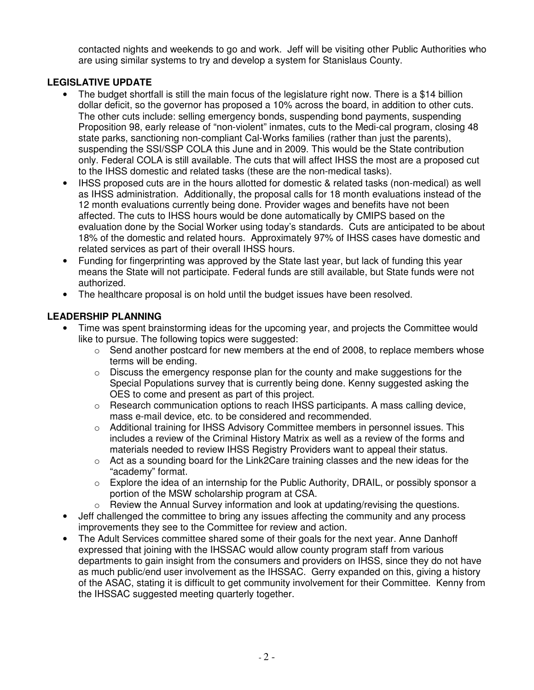contacted nights and weekends to go and work. Jeff will be visiting other Public Authorities who are using similar systems to try and develop a system for Stanislaus County.

# **LEGISLATIVE UPDATE**

- The budget shortfall is still the main focus of the legislature right now. There is a \$14 billion dollar deficit, so the governor has proposed a 10% across the board, in addition to other cuts. The other cuts include: selling emergency bonds, suspending bond payments, suspending Proposition 98, early release of "non-violent" inmates, cuts to the Medi-cal program, closing 48 state parks, sanctioning non-compliant Cal-Works families (rather than just the parents), suspending the SSI/SSP COLA this June and in 2009. This would be the State contribution only. Federal COLA is still available. The cuts that will affect IHSS the most are a proposed cut to the IHSS domestic and related tasks (these are the non-medical tasks).
- IHSS proposed cuts are in the hours allotted for domestic & related tasks (non-medical) as well as IHSS administration. Additionally, the proposal calls for 18 month evaluations instead of the 12 month evaluations currently being done. Provider wages and benefits have not been affected. The cuts to IHSS hours would be done automatically by CMIPS based on the evaluation done by the Social Worker using today's standards. Cuts are anticipated to be about 18% of the domestic and related hours. Approximately 97% of IHSS cases have domestic and related services as part of their overall IHSS hours.
- Funding for fingerprinting was approved by the State last year, but lack of funding this year means the State will not participate. Federal funds are still available, but State funds were not authorized.
- The healthcare proposal is on hold until the budget issues have been resolved.

# **LEADERSHIP PLANNING**

- Time was spent brainstorming ideas for the upcoming year, and projects the Committee would like to pursue. The following topics were suggested:
	- $\circ$  Send another postcard for new members at the end of 2008, to replace members whose terms will be ending.
	- $\circ$  Discuss the emergency response plan for the county and make suggestions for the Special Populations survey that is currently being done. Kenny suggested asking the OES to come and present as part of this project.
	- $\circ$  Research communication options to reach IHSS participants. A mass calling device, mass e-mail device, etc. to be considered and recommended.
	- $\circ$  Additional training for IHSS Advisory Committee members in personnel issues. This includes a review of the Criminal History Matrix as well as a review of the forms and materials needed to review IHSS Registry Providers want to appeal their status.
	- $\circ$  Act as a sounding board for the Link2Care training classes and the new ideas for the "academy" format.
	- $\circ$  Explore the idea of an internship for the Public Authority, DRAIL, or possibly sponsor a portion of the MSW scholarship program at CSA.
	- $\circ$  Review the Annual Survey information and look at updating/revising the questions.
- Jeff challenged the committee to bring any issues affecting the community and any process improvements they see to the Committee for review and action.
- The Adult Services committee shared some of their goals for the next year. Anne Danhoff expressed that joining with the IHSSAC would allow county program staff from various departments to gain insight from the consumers and providers on IHSS, since they do not have as much public/end user involvement as the IHSSAC. Gerry expanded on this, giving a history of the ASAC, stating it is difficult to get community involvement for their Committee. Kenny from the IHSSAC suggested meeting quarterly together.